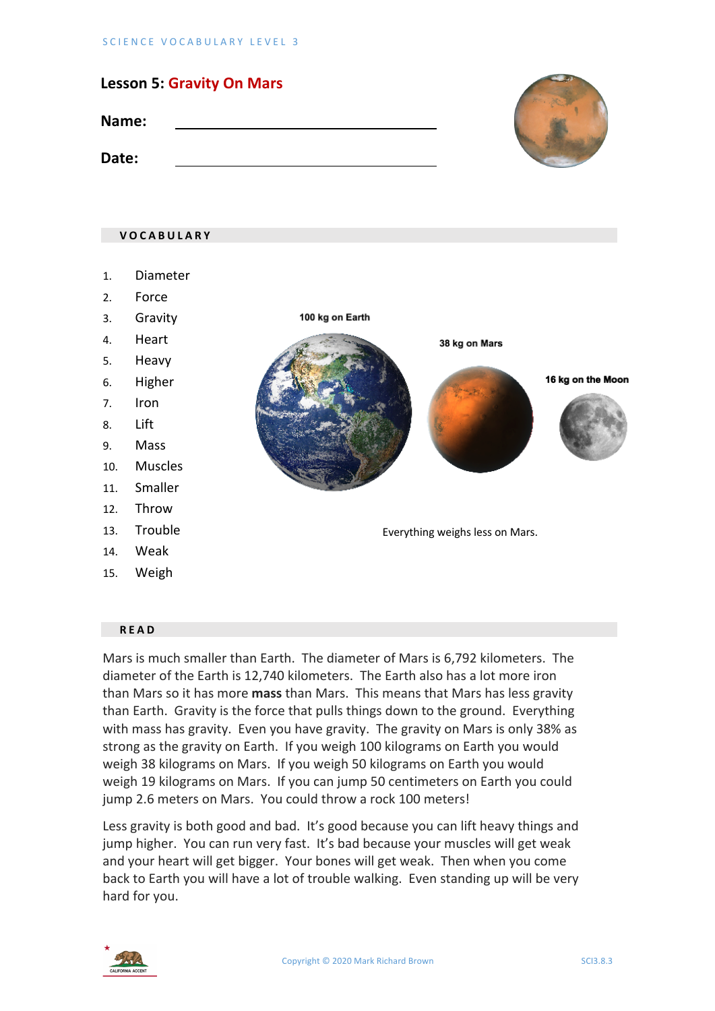| <b>Lesson 5: Gravity On Mars</b> |  |
|----------------------------------|--|
| Name:                            |  |
| Date:                            |  |

# **VOCABULARY** 1. Diameter 2. Force 3. Gravity 100 kg on Earth 4. Heart 38 kg on Mars 5. Heavy 6. Higher 16 kg on the Moon 7. Iron 8. Lift 9. Mass 10. Muscles 11. Smaller 12. Throw 13. Trouble Everything weighs less on Mars. 14. Weak 15. Weigh

#### **READ**

Mars is much smaller than Earth. The diameter of Mars is 6,792 kilometers. The diameter of the Earth is 12,740 kilometers. The Earth also has a lot more iron than Mars so it has more **mass** than Mars. This means that Mars has less gravity than Earth. Gravity is the force that pulls things down to the ground. Everything with mass has gravity. Even you have gravity. The gravity on Mars is only 38% as strong as the gravity on Earth. If you weigh 100 kilograms on Earth you would weigh 38 kilograms on Mars. If you weigh 50 kilograms on Earth you would weigh 19 kilograms on Mars. If you can jump 50 centimeters on Earth you could jump 2.6 meters on Mars. You could throw a rock 100 meters!

Less gravity is both good and bad. It's good because you can lift heavy things and jump higher. You can run very fast. It's bad because your muscles will get weak and your heart will get bigger. Your bones will get weak. Then when you come back to Earth you will have a lot of trouble walking. Even standing up will be very hard for you.